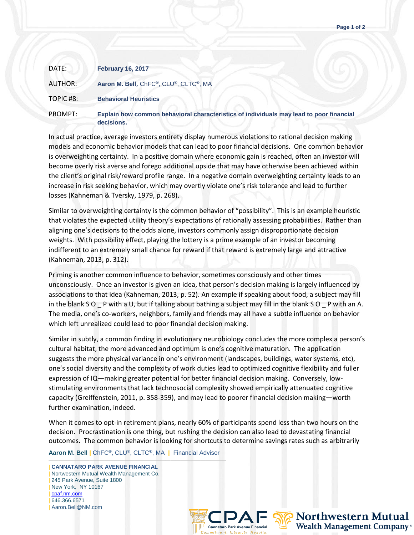| DATE:    | <b>February 16, 2017</b>                                                                              |
|----------|-------------------------------------------------------------------------------------------------------|
| AUTHOR:  | Aaron M. Bell, ChFC®, CLU®, CLTC®, MA                                                                 |
| TOPIC#8: | <b>Behavioral Heuristics</b>                                                                          |
| PROMPT:  | Explain how common behavioral characteristics of individuals may lead to poor financial<br>decisions. |

In actual practice, average investors entirety display numerous violations to rational decision making models and economic behavior models that can lead to poor financial decisions. One common behavior is overweighting certainty. In a positive domain where economic gain is reached, often an investor will become overly risk averse and forego additional upside that may have otherwise been achieved within the client's original risk/reward profile range. In a negative domain overweighting certainty leads to an increase in risk seeking behavior, which may overtly violate one's risk tolerance and lead to further losses (Kahneman & Tversky, 1979, p. 268).

Similar to overweighting certainty is the common behavior of "possibility". This is an example heuristic that violates the expected utility theory's expectations of rationally assessing probabilities. Rather than aligning one's decisions to the odds alone, investors commonly assign disproportionate decision weights. With possibility effect, playing the lottery is a prime example of an investor becoming indifferent to an extremely small chance for reward if that reward is extremely large and attractive (Kahneman, 2013, p. 312).

Priming is another common influence to behavior, sometimes consciously and other times unconsciously. Once an investor is given an idea, that person's decision making is largely influenced by associations to that idea (Kahneman, 2013, p. 52). An example if speaking about food, a subject may fill in the blank S O \_ P with a U, but if talking about bathing a subject may fill in the blank S O \_ P with an A. The media, one's co-workers, neighbors, family and friends may all have a subtle influence on behavior which left unrealized could lead to poor financial decision making.

Similar in subtly, a common finding in evolutionary neurobiology concludes the more complex a person's cultural habitat, the more advanced and optimum is one's cognitive maturation. The application suggests the more physical variance in one's environment (landscapes, buildings, water systems, etc), one's social diversity and the complexity of work duties lead to optimized cognitive flexibility and fuller expression of IQ—making greater potential for better financial decision making. Conversely, lowstimulating environments that lack technosocial complexity showed empirically attenuated cognitive capacity (Greiffenstein, 2011, p. 358-359), and may lead to poorer financial decision making—worth further examination, indeed.

When it comes to opt-in retirement plans, nearly 60% of participants spend less than two hours on the decision. Procrastination is one thing, but rushing the decision can also lead to devastating financial outcomes. The common behavior is looking for shortcuts to determine savings rates such as arbitrarily

**Aaron M. Bell |** ChFC**®**, CLU®, CLTC**®**, MA **|** Financial Advisor

——————————————————————————————————— | **CANNATARO PARK AVENUE FINANCIAL** | Nortwestern Mutual Wealth Management Co. | 245 Park Avenue, Suite 1800 | New York, NY 10167 | [cpaf.nm.com](http://www.cpaf.nm.com/) | 646.366.6571 [Aaron.Bell@NM.com](mailto:Aaron.Bell@NM.com)